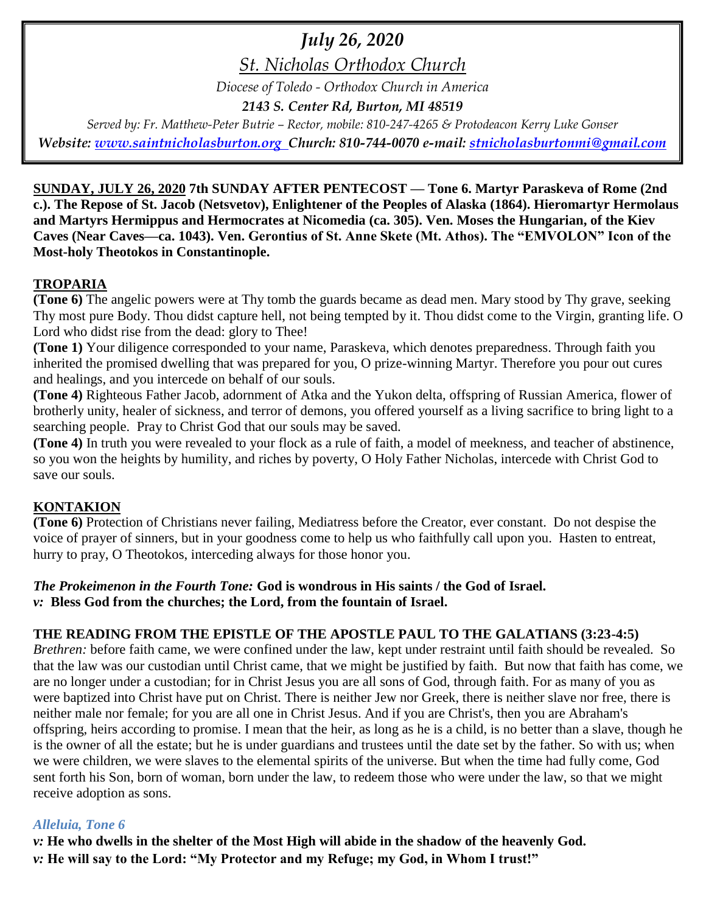# *July 26, 2020*

*St. Nicholas Orthodox Church*

*Diocese of Toledo - Orthodox Church in America*

*2143 S. Center Rd, Burton, MI 48519*

*Served by: Fr. Matthew-Peter Butrie – Rector, mobile: 810-247-4265 & Protodeacon Kerry Luke Gonser Website: [www.saintnicholasburton.org](http://www.saintnicholasburton.org/) Church: 810-744-0070 e-mail: [stnicholasburtonmi@gmail.com](mailto:stnicholasburtonmi@gmail.com)*

**SUNDAY, JULY 26, 2020 7th SUNDAY AFTER PENTECOST — Tone 6. Martyr Paraskeva of Rome (2nd c.). The Repose of St. Jacob (Netsvetov), Enlightener of the Peoples of Alaska (1864). Hieromartyr Hermolaus and Martyrs Hermippus and Hermocrates at Nicomedia (ca. 305). Ven. Moses the Hungarian, of the Kiev Caves (Near Caves—ca. 1043). Ven. Gerontius of St. Anne Skete (Mt. Athos). The "EMVOLON" Icon of the Most-holy Theotokos in Constantinople.**

## **TROPARIA**

**(Tone 6)** The angelic powers were at Thy tomb the guards became as dead men. Mary stood by Thy grave, seeking Thy most pure Body. Thou didst capture hell, not being tempted by it. Thou didst come to the Virgin, granting life. O Lord who didst rise from the dead: glory to Thee!

**(Tone 1)** Your diligence corresponded to your name, Paraskeva, which denotes preparedness. Through faith you inherited the promised dwelling that was prepared for you, O prize-winning Martyr. Therefore you pour out cures and healings, and you intercede on behalf of our souls.

**(Tone 4)** Righteous Father Jacob, adornment of Atka and the Yukon delta, offspring of Russian America, flower of brotherly unity, healer of sickness, and terror of demons, you offered yourself as a living sacrifice to bring light to a searching people. Pray to Christ God that our souls may be saved.

**(Tone 4)** In truth you were revealed to your flock as a rule of faith, a model of meekness, and teacher of abstinence, so you won the heights by humility, and riches by poverty, O Holy Father Nicholas, intercede with Christ God to save our souls.

## **KONTAKION**

**(Tone 6)** Protection of Christians never failing, Mediatress before the Creator, ever constant. Do not despise the voice of prayer of sinners, but in your goodness come to help us who faithfully call upon you. Hasten to entreat, hurry to pray, O Theotokos, interceding always for those honor you.

# *The Prokeimenon in the Fourth Tone:* **God is wondrous in His saints / the God of Israel.**

*v:* **Bless God from the churches; the Lord, from the fountain of Israel.**

## **THE READING FROM THE EPISTLE OF THE APOSTLE PAUL TO THE GALATIANS (3:23-4:5)**

*Brethren:* before faith came, we were confined under the law, kept under restraint until faith should be revealed. So that the law was our custodian until Christ came, that we might be justified by faith. But now that faith has come, we are no longer under a custodian; for in Christ Jesus you are all sons of God, through faith. For as many of you as were baptized into Christ have put on Christ. There is neither Jew nor Greek, there is neither slave nor free, there is neither male nor female; for you are all one in Christ Jesus. And if you are Christ's, then you are Abraham's offspring, heirs according to promise. I mean that the heir, as long as he is a child, is no better than a slave, though he is the owner of all the estate; but he is under guardians and trustees until the date set by the father. So with us; when we were children, we were slaves to the elemental spirits of the universe. But when the time had fully come, God sent forth his Son, born of woman, born under the law, to redeem those who were under the law, so that we might receive adoption as sons.

## *Alleluia, Tone 6*

*v:* **He who dwells in the shelter of the Most High will abide in the shadow of the heavenly God.** *v:* **He will say to the Lord: "My Protector and my Refuge; my God, in Whom I trust!"**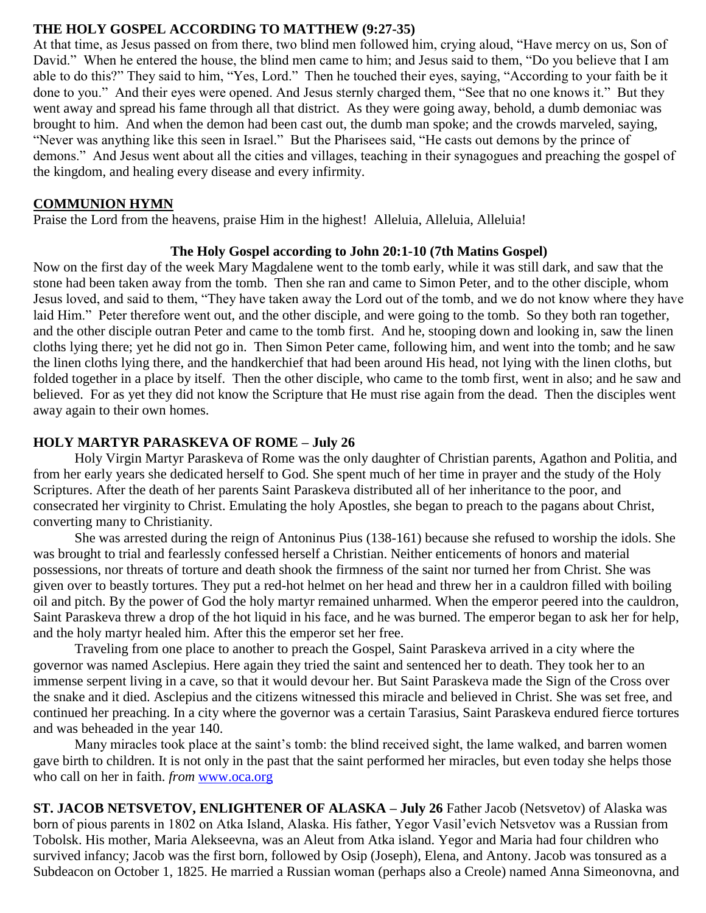#### **THE HOLY GOSPEL ACCORDING TO MATTHEW (9:27-35)**

At that time, as Jesus passed on from there, two blind men followed him, crying aloud, "Have mercy on us, Son of David." When he entered the house, the blind men came to him; and Jesus said to them, "Do you believe that I am able to do this?" They said to him, "Yes, Lord." Then he touched their eyes, saying, "According to your faith be it done to you." And their eyes were opened. And Jesus sternly charged them, "See that no one knows it." But they went away and spread his fame through all that district. As they were going away, behold, a dumb demoniac was brought to him. And when the demon had been cast out, the dumb man spoke; and the crowds marveled, saying, "Never was anything like this seen in Israel." But the Pharisees said, "He casts out demons by the prince of demons." And Jesus went about all the cities and villages, teaching in their synagogues and preaching the gospel of the kingdom, and healing every disease and every infirmity.

#### **COMMUNION HYMN**

Praise the Lord from the heavens, praise Him in the highest! Alleluia, Alleluia, Alleluia!

#### **The Holy Gospel according to John 20:1-10 (7th Matins Gospel)**

Now on the first day of the week Mary Magdalene went to the tomb early, while it was still dark, and saw that the stone had been taken away from the tomb. Then she ran and came to Simon Peter, and to the other disciple, whom Jesus loved, and said to them, "They have taken away the Lord out of the tomb, and we do not know where they have laid Him." Peter therefore went out, and the other disciple, and were going to the tomb. So they both ran together, and the other disciple outran Peter and came to the tomb first. And he, stooping down and looking in, saw the linen cloths lying there; yet he did not go in. Then Simon Peter came, following him, and went into the tomb; and he saw the linen cloths lying there, and the handkerchief that had been around His head, not lying with the linen cloths, but folded together in a place by itself. Then the other disciple, who came to the tomb first, went in also; and he saw and believed. For as yet they did not know the Scripture that He must rise again from the dead. Then the disciples went away again to their own homes.

#### **HOLY MARTYR PARASKEVA OF ROME – July 26**

Holy Virgin Martyr Paraskeva of Rome was the only daughter of Christian parents, Agathon and Politia, and from her early years she dedicated herself to God. She spent much of her time in prayer and the study of the Holy Scriptures. After the death of her parents Saint Paraskeva distributed all of her inheritance to the poor, and consecrated her virginity to Christ. Emulating the holy Apostles, she began to preach to the pagans about Christ, converting many to Christianity.

She was arrested during the reign of Antoninus Pius (138-161) because she refused to worship the idols. She was brought to trial and fearlessly confessed herself a Christian. Neither enticements of honors and material possessions, nor threats of torture and death shook the firmness of the saint nor turned her from Christ. She was given over to beastly tortures. They put a red-hot helmet on her head and threw her in a cauldron filled with boiling oil and pitch. By the power of God the holy martyr remained unharmed. When the emperor peered into the cauldron, Saint Paraskeva threw a drop of the hot liquid in his face, and he was burned. The emperor began to ask her for help, and the holy martyr healed him. After this the emperor set her free.

Traveling from one place to another to preach the Gospel, Saint Paraskeva arrived in a city where the governor was named Asclepius. Here again they tried the saint and sentenced her to death. They took her to an immense serpent living in a cave, so that it would devour her. But Saint Paraskeva made the Sign of the Cross over the snake and it died. Asclepius and the citizens witnessed this miracle and believed in Christ. She was set free, and continued her preaching. In a city where the governor was a certain Tarasius, Saint Paraskeva endured fierce tortures and was beheaded in the year 140.

Many miracles took place at the saint's tomb: the blind received sight, the lame walked, and barren women gave birth to children. It is not only in the past that the saint performed her miracles, but even today she helps those who call on her in faith. *from* [www.oca.org](http://www.oca.org/)

**ST. JACOB NETSVETOV, ENLIGHTENER OF ALASKA – July 26** Father Jacob (Netsvetov) of Alaska was born of pious parents in 1802 on Atka Island, Alaska. His father, Yegor Vasil'evich Netsvetov was a Russian from Tobolsk. His mother, Maria Alekseevna, was an Aleut from Atka island. Yegor and Maria had four children who survived infancy; Jacob was the first born, followed by Osip (Joseph), Elena, and Antony. Jacob was tonsured as a Subdeacon on October 1, 1825. He married a Russian woman (perhaps also a Creole) named Anna Simeonovna, and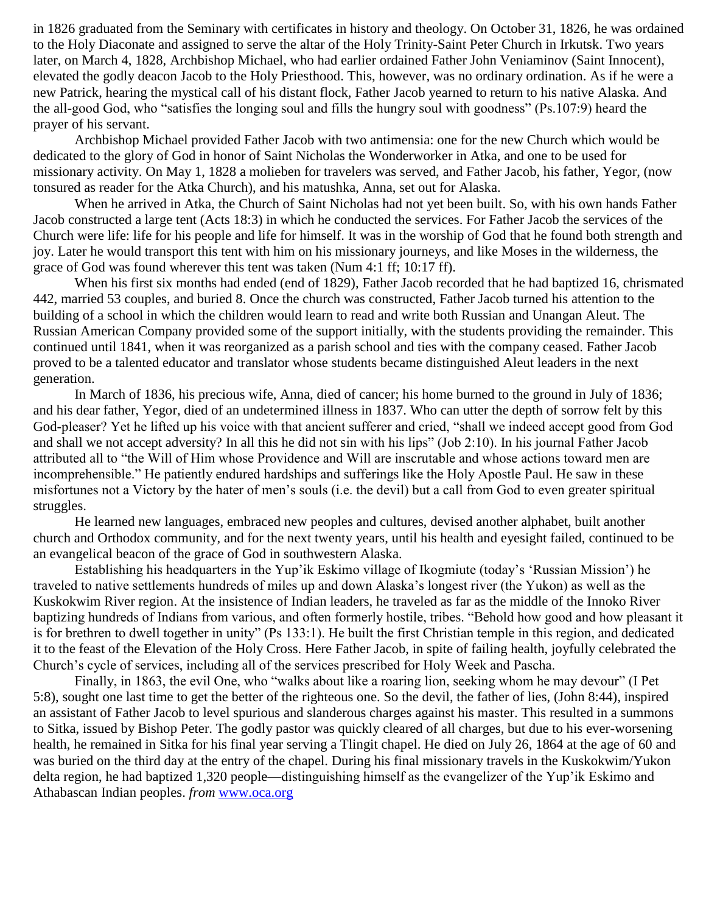in 1826 graduated from the Seminary with certificates in history and theology. On October 31, 1826, he was ordained to the Holy Diaconate and assigned to serve the altar of the Holy Trinity-Saint Peter Church in Irkutsk. Two years later, on March 4, 1828, Archbishop Michael, who had earlier ordained Father John Veniaminov (Saint Innocent), elevated the godly deacon Jacob to the Holy Priesthood. This, however, was no ordinary ordination. As if he were a new Patrick, hearing the mystical call of his distant flock, Father Jacob yearned to return to his native Alaska. And the all-good God, who "satisfies the longing soul and fills the hungry soul with goodness" (Ps.107:9) heard the prayer of his servant.

Archbishop Michael provided Father Jacob with two antimensia: one for the new Church which would be dedicated to the glory of God in honor of Saint Nicholas the Wonderworker in Atka, and one to be used for missionary activity. On May 1, 1828 a molieben for travelers was served, and Father Jacob, his father, Yegor, (now tonsured as reader for the Atka Church), and his matushka, Anna, set out for Alaska.

When he arrived in Atka, the Church of Saint Nicholas had not yet been built. So, with his own hands Father Jacob constructed a large tent (Acts 18:3) in which he conducted the services. For Father Jacob the services of the Church were life: life for his people and life for himself. It was in the worship of God that he found both strength and joy. Later he would transport this tent with him on his missionary journeys, and like Moses in the wilderness, the grace of God was found wherever this tent was taken (Num 4:1 ff; 10:17 ff).

When his first six months had ended (end of 1829), Father Jacob recorded that he had baptized 16, chrismated 442, married 53 couples, and buried 8. Once the church was constructed, Father Jacob turned his attention to the building of a school in which the children would learn to read and write both Russian and Unangan Aleut. The Russian American Company provided some of the support initially, with the students providing the remainder. This continued until 1841, when it was reorganized as a parish school and ties with the company ceased. Father Jacob proved to be a talented educator and translator whose students became distinguished Aleut leaders in the next generation.

In March of 1836, his precious wife, Anna, died of cancer; his home burned to the ground in July of 1836; and his dear father, Yegor, died of an undetermined illness in 1837. Who can utter the depth of sorrow felt by this God-pleaser? Yet he lifted up his voice with that ancient sufferer and cried, "shall we indeed accept good from God and shall we not accept adversity? In all this he did not sin with his lips" (Job 2:10). In his journal Father Jacob attributed all to "the Will of Him whose Providence and Will are inscrutable and whose actions toward men are incomprehensible." He patiently endured hardships and sufferings like the Holy Apostle Paul. He saw in these misfortunes not a Victory by the hater of men's souls (i.e. the devil) but a call from God to even greater spiritual struggles.

He learned new languages, embraced new peoples and cultures, devised another alphabet, built another church and Orthodox community, and for the next twenty years, until his health and eyesight failed, continued to be an evangelical beacon of the grace of God in southwestern Alaska.

Establishing his headquarters in the Yup'ik Eskimo village of Ikogmiute (today's 'Russian Mission') he traveled to native settlements hundreds of miles up and down Alaska's longest river (the Yukon) as well as the Kuskokwim River region. At the insistence of Indian leaders, he traveled as far as the middle of the Innoko River baptizing hundreds of Indians from various, and often formerly hostile, tribes. "Behold how good and how pleasant it is for brethren to dwell together in unity" (Ps 133:1). He built the first Christian temple in this region, and dedicated it to the feast of the Elevation of the Holy Cross. Here Father Jacob, in spite of failing health, joyfully celebrated the Church's cycle of services, including all of the services prescribed for Holy Week and Pascha.

Finally, in 1863, the evil One, who "walks about like a roaring lion, seeking whom he may devour" (I Pet 5:8), sought one last time to get the better of the righteous one. So the devil, the father of lies, (John 8:44), inspired an assistant of Father Jacob to level spurious and slanderous charges against his master. This resulted in a summons to Sitka, issued by Bishop Peter. The godly pastor was quickly cleared of all charges, but due to his ever-worsening health, he remained in Sitka for his final year serving a Tlingit chapel. He died on July 26, 1864 at the age of 60 and was buried on the third day at the entry of the chapel. During his final missionary travels in the Kuskokwim/Yukon delta region, he had baptized 1,320 people—distinguishing himself as the evangelizer of the Yup'ik Eskimo and Athabascan Indian peoples. *from* [www.oca.org](http://www.oca.org/)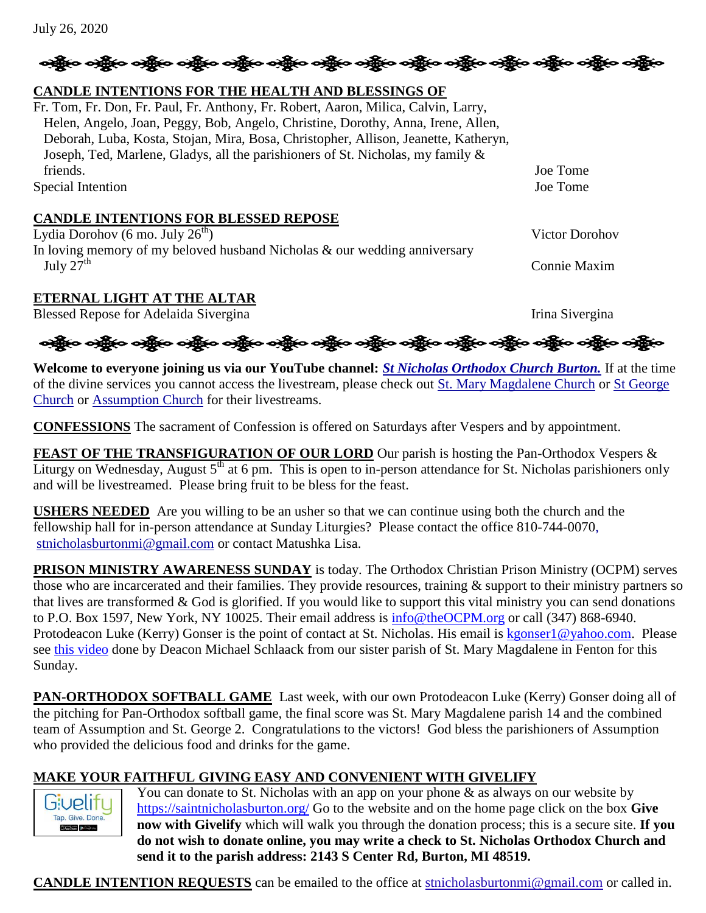| <b>USHERS NEEDED</b> Are you willing to be an usher so that we can continue using both the church and the<br>fellowship hall for in-person attendance at Sunday Liturgies? Please contact the office 810-744-0070, |
|--------------------------------------------------------------------------------------------------------------------------------------------------------------------------------------------------------------------|
| stnicholasburtonmi@gmail.com or contact Matushka Lisa.                                                                                                                                                             |
| <b>PRISON MINISTRY AWARENESS SUNDAY</b> is today. The Orthodox Christian Prison Ministry (OCPM) serves                                                                                                             |
| those who are incarcerated and their families. They provide resources, training & support to their ministry partners so                                                                                            |

FEAST OF THE TRANSFIGURATION OF OUR LORD Our parish is hosting the Pan-Orthodox Vespers & Liturgy on Wednesday, August  $5<sup>th</sup>$  at 6 pm. This is open to in-person attendance for St. Nicholas parishioners only

**Welcome to everyone joining us via our YouTube channel:** *[St Nicholas Orthodox Church Burton.](https://www.youtube.com/channel/UC59tV-Re443z-GCoETAUvfA)* If at the time of the divine services you cannot access the livestream, please check out [St. Mary Magdalene Church](https://www.youtube.com/channel/UClHAqZrWkXdYELujbbIslHg) or St George

**CONFESSIONS** The sacrament of Confession is offered on Saturdays after Vespers and by appointment.

those who are incarcerated and their families. They provide resources, training & support to their ministry partners so that lives are transformed  $\&$  God is glorified. If you would like to support this vital ministry you can send donations to P.O. Box 1597, New York, NY 10025. Their email address is  $\frac{info@theOCPM.org}{info@theOCPM.org}$  or call (347) 868-6940. Protodeacon Luke (Kerry) Gonser is the point of contact at St. Nicholas. His email is [kgonser1@yahoo.com.](mailto:kgonser1@yahoo.com) Please see [this video](https://youtu.be/D4GeyBa0cGI) done by Deacon Michael Schlaack from our sister parish of St. Mary Magdalene in Fenton for this Sunday.

**PAN-ORTHODOX SOFTBALL GAME** Last week, with our own Protodeacon Luke (Kerry) Gonser doing all of the pitching for Pan-Orthodox softball game, the final score was St. Mary Magdalene parish 14 and the combined team of Assumption and St. George 2. Congratulations to the victors! God bless the parishioners of Assumption who provided the delicious food and drinks for the game.

# **MAKE YOUR FAITHFUL GIVING EASY AND CONVENIENT WITH GIVELIFY**

You can donate to St. Nicholas with an app on your phone  $\&$  as always on our website by <https://saintnicholasburton.org/> Go to the website and on the home page click on the box **Give now with Givelify** which will walk you through the donation process; this is a secure site. **If you do not wish to donate online, you may write a check to St. Nicholas Orthodox Church and send it to the parish address: 2143 S Center Rd, Burton, MI 48519.**

**CANDLE INTENTION REQUESTS** can be emailed to the office at [stnicholasburtonmi@gmail.com](mailto:stnicholasburtonmi@gmail.com) or called in.

# **CANDLE INTENTIONS FOR THE HEALTH AND BLESSINGS OF**

Fr. Tom, Fr. Don, Fr. Paul, Fr. Anthony, Fr. Robert, Aaron, Milica, Calvin, Larry, Helen, Angelo, Joan, Peggy, Bob, Angelo, Christine, Dorothy, Anna, Irene, Allen, Deborah, Luba, Kosta, Stojan, Mira, Bosa, Christopher, Allison, Jeanette, Katheryn, Joseph, Ted, Marlene, Gladys, all the parishioners of St. Nicholas, my family &

# **CANDLE INTENTIONS FOR BLESSED REPOSE**

[Church](https://www.youtube.com/channel/UCpLWfxMIJK4uQOV41ekE6Wg/videos?view=2&flow=grid) or [Assumption Church](https://www.facebook.com/AssumptionGrandBlanc/) for their livestreams.

and will be livestreamed. Please bring fruit to be bless for the feast.

In loving memory of my beloved husband Nicholas & our wedding anniversary July  $27<sup>th</sup>$  Connie Maxim

# **ETERNAL LIGHT AT THE ALTAR**

Blessed Repose for Adelaida Sivergina Irina Sivergina

ઓફ્રેન્ડ ઓફ્રેન્ડ ઓફ્રેન્ડ એફ્રેન્ડ ઓફ્રેન્ડ ઓફ્રેન્ડ ઓફ્રેન્ડ ઓફ્રેન્ડ ઓફ્રિન્ડ ઓફ્રિન્ડ ઓફ્રિન્ડ ઓફ્રિન્ડ ઓફ

friends. Joe Tome Special Intention Joe Tome Lydia Dorohov (6 mo. July  $26<sup>th</sup>$ ) Victor Dorohov

ဆို့ပြီး ဝဆို့**လ ဝန္တိုင် ဝဆို့ပ ဝဆို့ပ ဝဆို့ပ ဝဆို့ပ ဝဆို့ပ** ဝဆို့ ပြောက်ရွာ ဝဆို့ ပြောက်ရွာ ဝဆို့ ပြောက်ရွာ

July 26, 2020